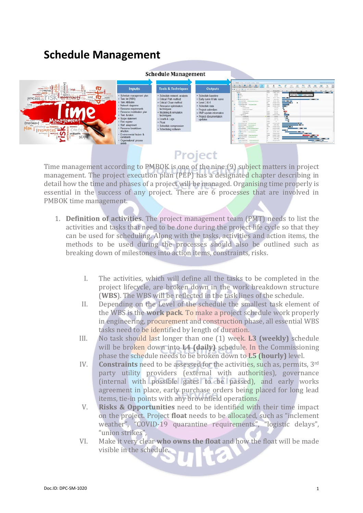## **Schedule Management**



| <b>Inputs</b>                          |  |
|----------------------------------------|--|
| Schedule management plan               |  |
| Task list (WBS)                        |  |
| Task Attributes                        |  |
| Network diagrams                       |  |
| Resource requirements                  |  |
| Resource mobilisation plan             |  |
| Task duration                          |  |
| Scope statement                        |  |
| <b>Risk register</b>                   |  |
| Staff assignment                       |  |
| Resource breakdown<br>dructure         |  |
| Environmental factors &<br>constraints |  |
| <b>Impressional</b> nervoss            |  |

| <b>Tools &amp; Techniques</b> |
|-------------------------------|
|                               |
| Schedule network analysis     |
| Critical Path method          |
| Critical Chain method         |
| Resource optimisation         |
| techniques                    |
| Modeling & simulation         |
| techniques                    |
| Leads & Lags                  |
|                               |
| Float                         |
| Schedule compression          |
| Scheduling software           |

**Schedule Management** 

|       | tion 1 Rogana 1 to face 1 to Townset 1 counts 1 better.                                | $\overline{1}$         |                                | c                       | <b>SKI</b>                   | <b>A</b><br>в                    | Three Cliff of the books and the<br>w           |                  |
|-------|----------------------------------------------------------------------------------------|------------------------|--------------------------------|-------------------------|------------------------------|----------------------------------|-------------------------------------------------|------------------|
|       |                                                                                        | <b>COLOR</b>           | Company                        | ñ.<br><b>Marketing</b>  | <b><i><u>STARTER</u></i></b> | <b>Distance</b><br><b>Daniel</b> | <b>Kenyamu</b><br><b><i><u>baseband</u></i></b> | <b>SALE</b>      |
|       | M. L. S. L. M. L. M. L. M. L. Monroe                                                   |                        |                                |                         |                              |                                  |                                                 |                  |
|       | <b>Executive Advisors</b>                                                              | m                      | <b><i><u>Actuments</u></i></b> |                         |                              |                                  | RP.<br>414                                      |                  |
|       | <b>Security</b>                                                                        | <b>House</b>           | $j$ -main. Any $\alpha \in$    |                         | maline firmle                |                                  |                                                 | <b>The Color</b> |
|       | a stream.                                                                              |                        | (0.51)                         |                         |                              | now I don't seem I don't point.  |                                                 |                  |
|       | + Minimite                                                                             | u                      | $199 - 361$                    |                         |                              |                                  |                                                 |                  |
|       | a laborer.                                                                             | <b>Thefts</b>          | reins sec                      | $-11$                   |                              |                                  |                                                 |                  |
| curve | + 10 almost mo pris                                                                    | <b>TELEVIS</b>         | <b>LESS AND I</b>              |                         |                              |                                  | 100000113                                       |                  |
|       | A G hard-liked - Independence between                                                  | <b>Date</b>            | Likedy-Toky                    | <b>COLOR</b>            |                              |                                  |                                                 |                  |
|       | <b>K.O. Salvatore</b>                                                                  | me.                    | <b>DEAL DIRECT</b>             | <b>CELL</b>             | ٠                            |                                  |                                                 |                  |
|       | in the bootspermanning of the analysis of                                              | <b>Service</b>         | A M-RAEL                       | u th                    |                              |                                  |                                                 |                  |
|       | of Editmina 8                                                                          | <b>Toris</b>           | DECK MONT                      | (145)                   |                              |                                  |                                                 |                  |
|       | GIVING BOURNE                                                                          |                        | 139.991                        | $\bullet$               |                              |                                  |                                                 |                  |
|       | Gridder score house                                                                    |                        | $196 - 461$                    | $\overline{\mathbf{a}}$ |                              |                                  |                                                 |                  |
|       | When British                                                                           | <b>State</b>           | $194 - 0414$                   | $0 -$                   |                              |                                  |                                                 |                  |
| ation | <b>UPRALLAR</b>                                                                        | <b>Thefield</b>        | 196.965                        | <b>RE1</b>              |                              |                                  |                                                 |                  |
|       | in Galleries &                                                                         | <b>Teacher</b>         | <b>USEA IN TAIL</b>            | <b>COUNTER</b>          |                              |                                  |                                                 |                  |
| nod   | <b>Circularies</b>                                                                     | <b>The Corporation</b> | yes us (                       | <b>COL</b>              |                              |                                  |                                                 |                  |
|       | Grimman                                                                                | <b>Tarix</b>           | $100 - 201$                    | <b>CONTENT</b>          |                              |                                  |                                                 |                  |
|       | <b>United Markets</b>                                                                  | <b>INFORMATION</b>     | CONTRACTOR                     | Mar 23                  |                              |                                  |                                                 |                  |
|       | Grillee Test                                                                           | <b>District</b>        | <b>SHO</b>                     | $\blacksquare$          |                              |                                  |                                                 |                  |
|       | 4 to entertain commenters                                                              | <b>Harry Co.</b>       | <b>LIGHT GLASS</b>             |                         | $\cdots$                     |                                  |                                                 |                  |
|       | . 20 Selectedness - In lack departed on                                                | <b>Sec</b>             | <b>JITN FINE</b>               |                         | $\mathbf{u}$                 |                                  |                                                 |                  |
|       | 4 In First 1, 11 achievement 1                                                         | <b>Thefire</b>         | Letter many                    | <b>CBC</b>              |                              |                                  |                                                 |                  |
|       | # C Lotal Ralless - In-Space Street Services                                           |                        | (with links)                   |                         |                              | <b>MET</b>                       |                                                 |                  |
|       | # 49 Milled Report Fold," Andreas proven books                                         | <b>Secondary</b>       | Listade, lacked                | <b>COLORS</b>           |                              |                                  |                                                 |                  |
|       | a Chineston releasement<br>A GLISSO                                                    |                        | <b>CNOW</b> MALL               |                         | <b>CONTRACTOR</b>            | <b>STATE OF</b>                  |                                                 |                  |
|       |                                                                                        | Station                | (Alan Arin)<br>Labor Prints    |                         |                              |                                  |                                                 |                  |
|       | a co bate interest or language develop-                                                | <b>TRANS</b>           |                                |                         |                              | <b>THEFT</b>                     |                                                 |                  |
|       | 4 U. coup-furnal - A contractor of<br><b>Mandales</b>                                  |                        | 14139-1-048                    |                         |                              |                                  | $-$                                             |                  |
|       |                                                                                        |                        | 1044 444<br>La Route De        |                         |                              |                                  | <b>STATE OF ALL PROPERTY</b>                    |                  |
|       | 4 (2 to hours like) to terra-behaviouries<br>4 G 149 BB Porte  In their corps plans in |                        | <b>CONTRACTOR</b>              |                         |                              | -                                |                                                 |                  |
|       |                                                                                        |                        |                                |                         |                              |                                  |                                                 |                  |

## Project

edule t

Time management according to PMBOK is one of the nine (9) subject matters in project management. The project execution plan (PEP) has a designated chapter describing in detail how the time and phases of a project will be managed. Organising time properly is essential in the success of any project. There are 6 processes that are involved in PMBOK time management.

- 1. **Definition of activities**. The project management team (PMT) needs to list the activities and tasks that need to be done during the project life cycle so that they can be used for scheduling. Along with the tasks, activities and action items, the methods to be used during the processes should also be outlined such as breaking down of milestones into action items, constraints, risks.
	- I. The activities, which will define all the tasks to be completed in the project lifecycle, are broken down in the work breakdown structure (**WBS**). The WBS will be reflected in the task lines of the schedule.
	- II. Depending on the Level of the schedule the smallest task element of the WBS is the **work pack**. To make a project schedule work properly in engineering, procurement and construction phase, all essential WBS tasks need to be identified by length of duration.
	- III. No task should last longer than one (1) week. **L3 (weekly)** schedule will be broken down into **L4 (daily)** schedule. In the Commissioning phase the schedule needs to be broken down to **L5 (hourly)** level.
	- IV. **Constraints** need to be assessed for the activities, such as, permits, 3rd party utility providers (external with authorities), governance (internal with possible gates to be passed), and early works agreement in place, early purchase orders being placed for long lead items, tie-in points with any brownfield operations.
	- V. **Risks & Opportunities** need to be identified with their time impact on the project. Project **float** needs to be allocated, such as "inclement weather", "COVID-19 quarantine requirements", "logistic delays", "union strikes",
	- VI. Make it very clear **who owns the float** and how the float will be made visible in the schedule.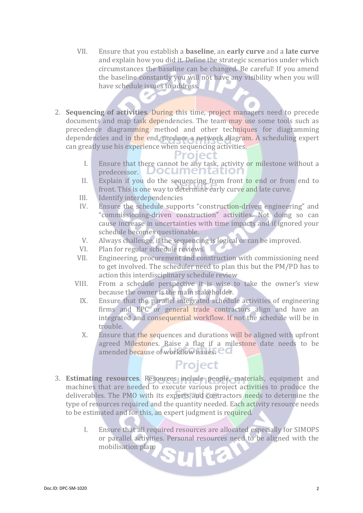- VII. Ensure that you establish a **baseline**, an **early curve** and a **late curve** and explain how you did it. Define the strategic scenarios under which circumstances the baseline can be changed. Be careful! If you amend the baseline constantly you will not have any visibility when you will have schedule issues to address.
- 2. **Sequencing of activities**. During this time, project managers need to precede documents and map task dependencies. The team may use some tools such as precedence diagramming method and other techniques for diagramming dependencies and in the end, produce a network diagram. A scheduling expert can greatly use his experience when sequencing activities.

- I. Ensure that there cannot be any task, activity or milestone without a predecessor. Documentation
- II. Explain if you do the sequencing from front to end or from end to front. This is one way to determine early curve and late curve.
- III. Identify interdependencies<br>IV. Ensure the schedule suppo
- Ensure the schedule supports "construction-driven engineering" and "commissioning-driven construction" activities. Not doing so can cause increase in uncertainties with time impacts and if ignored your schedule becomes questionable.
- V. Always challenge, if the sequencing is logical or can be improved.<br>VI. Plan for regular schedule reviews.
- VI. Plan for regular schedule reviews.<br>VII. Engineering, procurement and cor
- Engineering, procurement and construction with commissioning need to get involved. The scheduler need to plan this but the PM/PD has to action this interdisciplinary schedule review
- VIII. From a schedule perspective it is wise to take the owner's view because the owner is the main stakeholder.
	- IX. Ensure that the parallel integrated schedule activities of engineering firms and EPC or general trade contractors align and have an integrated and consequential workflow. If not the schedule will be in trouble.
	- X. Ensure that the sequences and durations will be aligned with upfront agreed Milestones. Raise a flag if a milestone date needs to be amended because of workflow issues. **CO**

## Project

- 3. **Estimating resources**. Resources include people, materials, equipment and machines that are needed to execute various project activities to produce the deliverables. The PMO with its experts and contractors needs to determine the type of resources required and the quantity needed. Each activity resource needs to be estimated and for this, an expert judgment is required.
	- I. Ensure that all required resources are allocated especially for SIMOPS or parallel activities. Personal resources need to be aligned with the mobilisation plan. 6.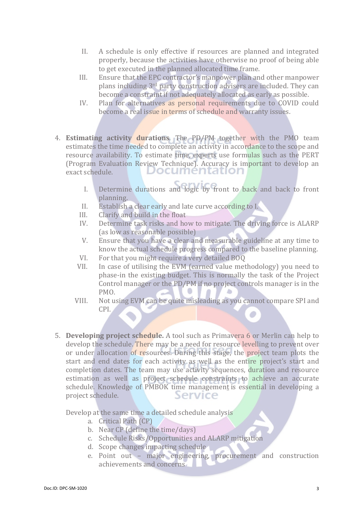- II. A schedule is only effective if resources are planned and integrated properly, because the activities have otherwise no proof of being able to get executed in the planned allocated time frame.
- III. Ensure that the EPC contractor's manpower plan and other manpower plans including 3rd party construction advisers are included. They can become a constraint if not adequately allocated as early as possible.
- IV. Plan for alternatives as personal requirements due to COVID could become a real issue in terms of schedule and warranty issues.
- 4. **Estimating activity durations**. The PD/PM together with the PMO team estimates the time needed to complete an activity in accordance to the scope and resource availability. To estimate time, experts use formulas such as the PERT (Program Evaluation Review Technique). Accuracy is important to develop an exact schedule.
	- I. Determine durations and logic by front to back and back to front planning.
	- II. Establish a clear early and late curve according to I.<br>III. Clarify and build in the float
	- III. Clarify and build in the float IV. Determine task risks and ho
	- Determine task risks and how to mitigate. The driving force is ALARP (as low as reasonable possible)
	- V. Ensure that you have a clear and measurable guideline at any time to know the actual schedule progress compared to the baseline planning.
	- VI. For that you might require a very detailed BOQ<br>VII. In case of utilising the EVM (earned value met
	- In case of utilising the EVM (earned value methodology) you need to phase-in the existing budget. This is normally the task of the Project Control manager or the PD/PM if no project controls manager is in the PMO.
	- VIII. Not using EVM can be quite misleading as you cannot compare SPI and CPI. ۵
- 5. **Developing project schedule.** A tool such as Primavera 6 or Merlin can help to develop the schedule. There may be a need for resource levelling to prevent over or under allocation of resources. During this stage, the project team plots the start and end dates for each activity as well as the entire project's start and completion dates. The team may use activity sequences, duration and resource estimation as well as project schedule constraints to achieve an accurate schedule. Knowledge of PMBOK time manageme[nt](https://www.nutcache.com/index0725.html?p=28126) is essential in developing a project schedule. project schedule.

Develop at the same time a detailed schedule analysis

- a. Critical Path (CP)
- b. Near CP (define the time/days)
- c. Schedule Risks/Opportunities and ALARP mitigation
- d. Scope changes impacting schedule
- e. Point out major engineering, procurement and construction achievements and concerns